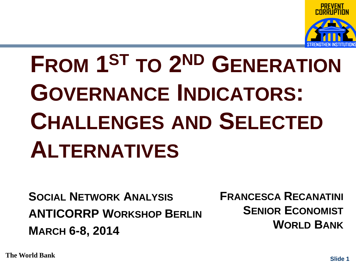

# **FROM 1ST TO 2ND GENERATION GOVERNANCE INDICATORS: CHALLENGES AND SELECTED ALTERNATIVES**

**SOCIAL NETWORK ANALYSIS ANTICORRP WORKSHOP BERLIN MARCH 6-8, 2014**

**FRANCESCA RECANATINI SENIOR ECONOMIST WORLD BANK**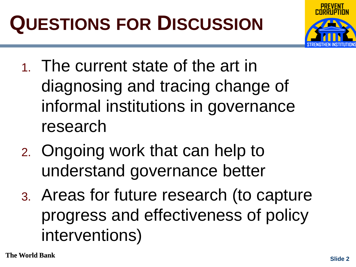# **QUESTIONS FOR DISCUSSION**



- 1. The current state of the art in diagnosing and tracing change of informal institutions in governance research
- 2. Ongoing work that can help to understand governance better
- 3. Areas for future research (to capture progress and effectiveness of policy interventions)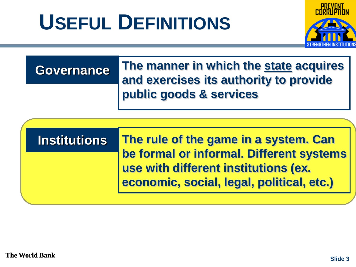# **USEFUL DEFINITIONS**



### **Governance**

**The manner in which the state acquires and exercises its authority to provide public goods & services**

### **Institutions**

**The rule of the game in a system. Can be formal or informal. Different systems use with different institutions (ex. economic, social, legal, political, etc.)**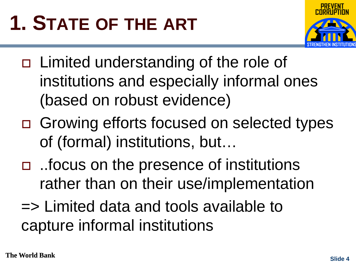# **1. STATE OF THE ART**



- □ Limited understanding of the role of institutions and especially informal ones (based on robust evidence)
- □ Growing efforts focused on selected types of (formal) institutions, but…
- ..focus on the presence of institutions rather than on their use/implementation
- => Limited data and tools available to capture informal institutions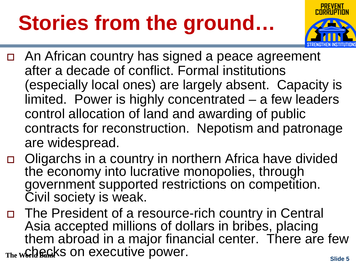# **Stories from the ground…**



- An African country has signed a peace agreement after a decade of conflict. Formal institutions (especially local ones) are largely absent. Capacity is limited. Power is highly concentrated – a few leaders control allocation of land and awarding of public contracts for reconstruction. Nepotism and patronage are widespread.
- □ Oligarchs in a country in northern Africa have divided the economy into lucrative monopolies, through government supported restrictions on competition. Civil society is weak.
- **The World Bank's ON EXECUTIVE power.** The World Banks slide 5 □ The President of a resource-rich country in Central Asia accepted millions of dollars in bribes, placing them abroad in a major financial center. There are few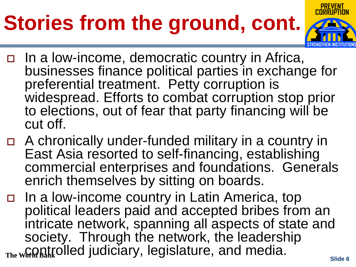# **Stories from the ground, cont.**



- In a low-income, democratic country in Africa, businesses finance political parties in exchange for preferential treatment. Petty corruption is widespread. Efforts to combat corruption stop prior to elections, out of fear that party financing will be cut off.
- A chronically under-funded military in a country in East Asia resorted to self-financing, establishing commercial enterprises and foundations. Generals enrich themselves by sitting on boards.
- The World Bank UITU JUUIUIUI y, IU GIUIUIUI U, UITU TITUUIU.<br>Slide 6 In a low-income country in Latin America, top political leaders paid and accepted bribes from an intricate network, spanning all aspects of state and society. Through the network, the leadership controlled judiciary, legislature, and media.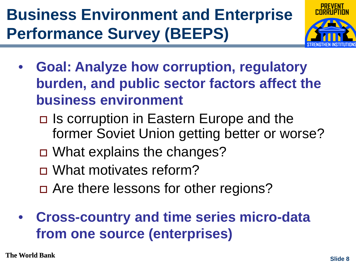### **Business Environment and Enterprise Performance Survey (BEEPS)**



- **Goal: Analyze how corruption, regulatory burden, and public sector factors affect the business environment**
	- Is corruption in Eastern Europe and the former Soviet Union getting better or worse?
	- □ What explains the changes?
	- □ What motivates reform?
	- □ Are there lessons for other regions?
- **Cross-country and time series micro-data from one source (enterprises)**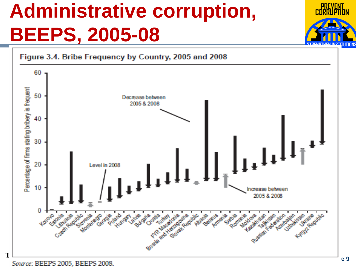## **Administrative corruption, BEEPS, 2005-08**



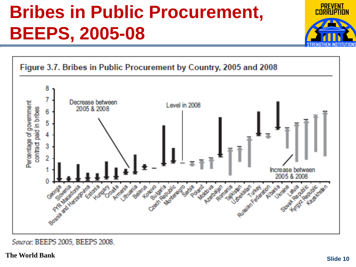### **Bribes in Public Procurement, BEEPS, 2005-08**





Source: BEEPS 2005, BEEPS 2008.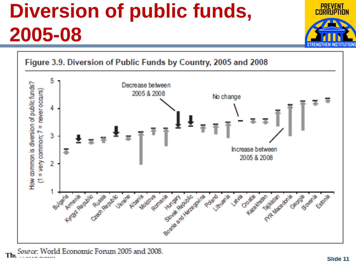## **Diversion of public funds, 2005-08**



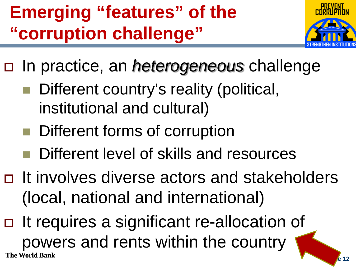### **Emerging "features" of the "corruption challenge"**



- In practice, an *heterogeneous* challenge
	- Different country's reality (political, institutional and cultural)
	- **Different forms of corruption**
	- Different level of skills and resources
- □ It involves diverse actors and stakeholders (local, national and international)
- **The World Bank Slide Slide Slide Slide Slide Slide Slide Slide Slide Slide Slide Slide Slide Slide Slide Slide Slide Slide Slide Slide Slide Slide Slide Slide Slide Slide Slide Slide Slide Slide Slide Slide Slide Slide** □ It requires a significant re-allocation of powers and rents within the country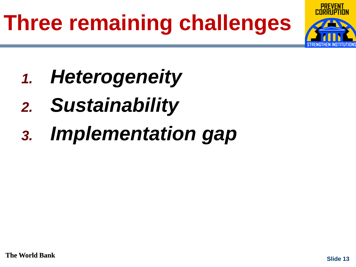# **Three remaining challenges**



- *1. Heterogeneity*
- *2. Sustainability*
- *3. Implementation gap*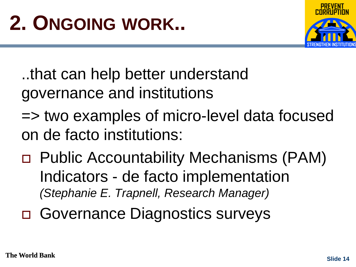

..that can help better understand governance and institutions

- => two examples of micro-level data focused on de facto institutions:
- Public Accountability Mechanisms (PAM) Indicators - de facto implementation *(Stephanie E. Trapnell, Research Manager)*
- Governance Diagnostics surveys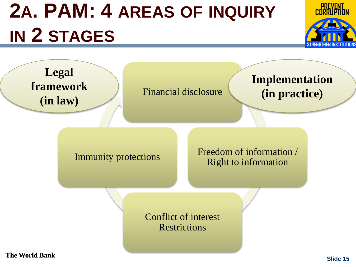# **2A. PAM: 4 AREAS OF INQUIRY IN 2 STAGES**



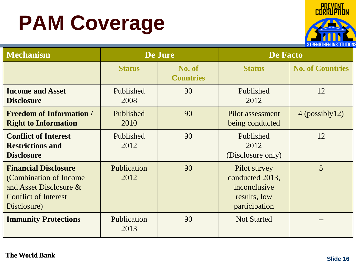# **PAM Coverage**



| <b>Mechanism</b>                                                                                                                  | De Jure             |                            | <b>De Facto</b>                                                                  |                         |
|-----------------------------------------------------------------------------------------------------------------------------------|---------------------|----------------------------|----------------------------------------------------------------------------------|-------------------------|
|                                                                                                                                   | <b>Status</b>       | No. of<br><b>Countries</b> | <b>Status</b>                                                                    | <b>No. of Countries</b> |
| <b>Income and Asset</b><br><b>Disclosure</b>                                                                                      | Published<br>2008   | 90                         | Published<br>2012                                                                | 12                      |
| <b>Freedom of Information /</b><br><b>Right to Information</b>                                                                    | Published<br>2010   | 90                         | Pilot assessment<br>being conducted                                              | $4$ (possibly 12)       |
| <b>Conflict of Interest</b><br><b>Restrictions and</b><br><b>Disclosure</b>                                                       | Published<br>2012   | 90                         | Published<br>2012<br>(Disclosure only)                                           | 12                      |
| <b>Financial Disclosure</b><br>(Combination of Income)<br>and Asset Disclosure $\&$<br><b>Conflict of Interest</b><br>Disclosure) | Publication<br>2012 | 90                         | Pilot survey<br>conducted 2013,<br>inconclusive<br>results, low<br>participation | 5                       |
| <b>Immunity Protections</b>                                                                                                       | Publication<br>2013 | 90                         | <b>Not Started</b>                                                               |                         |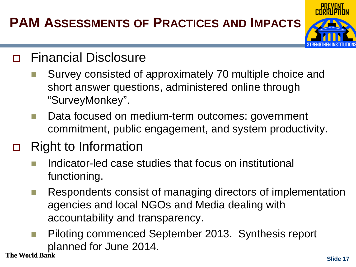### **PAM ASSESSMENTS OF PRACTICES AND IMPACTS**



#### Financial Disclosure

- Survey consisted of approximately 70 multiple choice and short answer questions, administered online through "SurveyMonkey".
- Data focused on medium-term outcomes: government commitment, public engagement, and system productivity.

### □ Right to Information

- Indicator-led case studies that focus on institutional functioning.
- **Respondents consist of managing directors of implementation** agencies and local NGOs and Media dealing with accountability and transparency.
- Piloting commenced September 2013. Synthesis report planned for June 2014.<br>The World Bank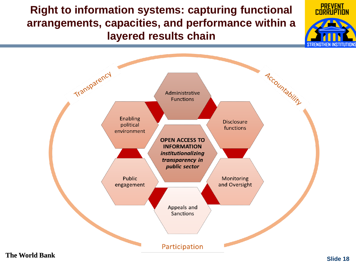**Right to information systems: capturing functional arrangements, capacities, and performance within a layered results chain** 



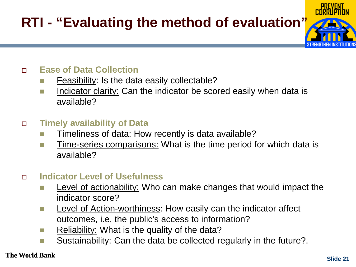### **RTI - "Evaluating the method of evaluation"**



- Feasibility: Is the data easily collectable?
- Indicator clarity: Can the indicator be scored easily when data is available?

#### **Timely availability of Data**

- $\blacksquare$  Timeliness of data: How recently is data available?
- Time-series comparisons: What is the time period for which data is available?

#### **Indicator Level of Usefulness**

- Level of actionability: Who can make changes that would impact the indicator score?
- **Level of Action-worthiness: How easily can the indicator affect** outcomes, i.e, the public's access to information?
- Reliability: What is the quality of the data?
- Sustainability: Can the data be collected regularly in the future?.

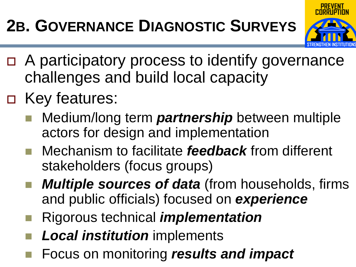### **2B. GOVERNANCE DIAGNOSTIC SURVEYS**



- A participatory process to identify governance challenges and build local capacity
- □ Key features:
	- Medium/long term *partnership* between multiple actors for design and implementation
	- Mechanism to facilitate *feedback* from different stakeholders (focus groups)
	- *Multiple sources of data* (from households, firms and public officials) focused on *experience*
	- Rigorous technical *implementation*
	- *Local institution* implements
- Focus on monitoring *results and impact*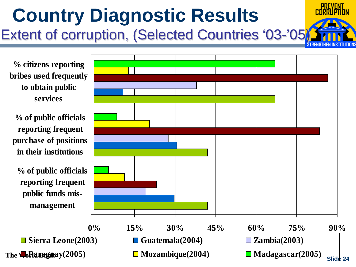### **Country Diagnostic Results** Extent of corruption, (Selected Countries '03-'05)

**% citizens reporting bribes used frequently to obtain public services**

**% of public officials reporting frequent purchase of positions in their institutions**

**% of public officials reporting frequent public funds mismanagement**

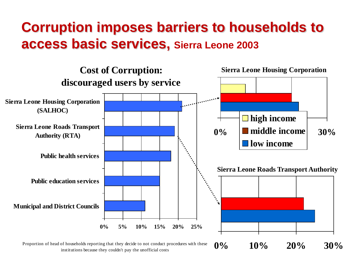### **Corruption imposes barriers to households to access basic services, Sierra Leone 2003**



institutions because they couldn't pay the unofficial costs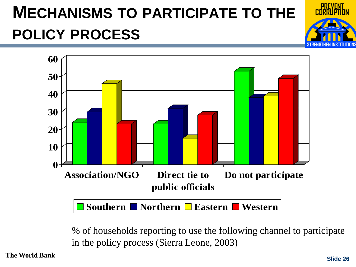### **MECHANISMS TO PARTICIPATE TO THE POLICY PROCESS**





% of households reporting to use the following channel to participate in the policy process (Sierra Leone, 2003)

**The World Bank Slide Slide 2626**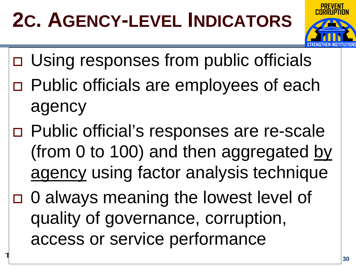# **2C. AGENCY-LEVEL INDICATORS**



- Using responses from public officials
- Public officials are employees of each agency
- Public official's responses are re-scale (from 0 to 100) and then aggregated by agency using factor analysis technique
- 0 always meaning the lowest level of quality of governance, corruption, access or service performance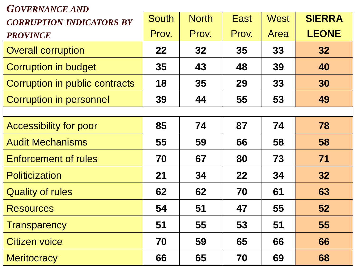#### *GOVERNANCE AND*

| UU <i>'UN'ARUD ARD</i><br><b>CORRUPTION INDICATORS BY</b> | <b>South</b> | <b>North</b> | <b>East</b>     | <b>West</b> | <b>SIERRA</b> |
|-----------------------------------------------------------|--------------|--------------|-----------------|-------------|---------------|
| <b>PROVINCE</b>                                           | Prov.        | Prov.        | Prov.           | Area        | <b>LEONE</b>  |
| <b>Overall corruption</b>                                 | 22           | 32           | 35 <sub>1</sub> | 33          | 32            |
| <b>Corruption in budget</b>                               | 35           | 43           | 48              | 39          | 40            |
| Corruption in public contracts                            | 18           | 35           | 29              | 33          | 30            |
| <b>Corruption in personnel</b>                            | 39           | 44           | 55              | 53          | 49            |
|                                                           |              |              |                 |             |               |
| <b>Accessibility for poor</b>                             | 85           | 74           | 87              | 74          | 78            |
| <b>Audit Mechanisms</b>                                   | 55           | 59           | 66              | 58          | 58            |
| <b>Enforcement of rules</b>                               | 70           | 67           | 80              | 73          | 71            |
| <b>Politicization</b>                                     | 21           | 34           | 22              | 34          | 32            |
| <b>Quality of rules</b>                                   | 62           | 62           | 70              | 61          | 63            |
| <b>Resources</b>                                          | 54           | 51           | 47              | 55          | 52            |
| <b>Transparency</b>                                       | 51           | 55           | 53              | 51          | 55            |
| Citizen voice                                             | 70           | 59           | 65              | 66          | 66            |
| <b>Meritocracy</b>                                        | 66           | 65           | 70              | 69          | 68            |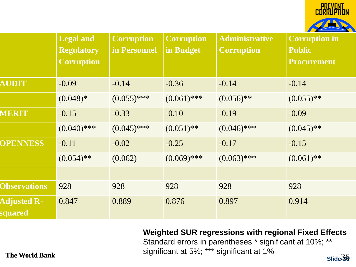

|                               | <b>Legal and</b><br><b>Regulatory</b><br><b>Corruption</b> | <b>Corruption</b><br>in Personnel | <b>Corruption</b><br>in Budget | <b>Administrative</b><br><b>Corruption</b> | <b>Corruption in</b><br><b>Public</b><br><b>Procurement</b> |
|-------------------------------|------------------------------------------------------------|-----------------------------------|--------------------------------|--------------------------------------------|-------------------------------------------------------------|
| <b>AUDIT</b>                  | $-0.09$                                                    | $-0.14$                           | $-0.36$                        | $-0.14$                                    | $-0.14$                                                     |
|                               | $(0.048)*$                                                 | $(0.055)$ ***                     | $(0.061)$ ***                  | $(0.056)$ **                               | $(0.055)$ **                                                |
| MERIT                         | $-0.15$                                                    | $-0.33$                           | $-0.10$                        | $-0.19$                                    | $-0.09$                                                     |
|                               | $(0.040)$ ***                                              | $(0.045)$ ***                     | $(0.051)$ **                   | $(0.046)$ ***                              | $(0.045)$ **                                                |
| <b>OPENNESS</b>               | $-0.11$                                                    | $-0.02$                           | $-0.25$                        | $-0.17$                                    | $-0.15$                                                     |
|                               | $(0.054)$ **                                               | (0.062)                           | $(0.069)$ ***                  | $(0.063)$ ***                              | $(0.061)$ **                                                |
|                               |                                                            |                                   |                                |                                            |                                                             |
| <b>Observations</b>           | 928                                                        | 928                               | 928                            | 928                                        | 928                                                         |
| <b>Adjusted R-</b><br>squared | 0.847                                                      | 0.889                             | 0.876                          | 0.897                                      | 0.914                                                       |

**Weighted SUR regressions with regional Fixed Effects**

**The World Bank** Signmeant at 5%, and signmeant at 1% Slide 36 Standard errors in parentheses \* significant at 10%; \*\* significant at 5%; \*\*\* significant at 1%

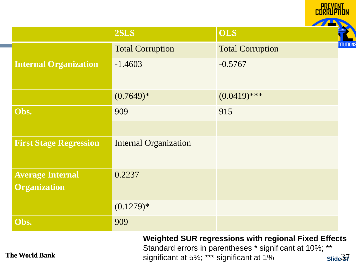|                               |                                                                                                                                                                                  |                         | <b>PREVENT</b> |  |
|-------------------------------|----------------------------------------------------------------------------------------------------------------------------------------------------------------------------------|-------------------------|----------------|--|
|                               | 2SLS                                                                                                                                                                             | <b>OLS</b>              |                |  |
|                               | <b>Total Corruption</b>                                                                                                                                                          | <b>Total Corruption</b> | TITUTIONS      |  |
| <b>Internal Organization</b>  | $-1.4603$                                                                                                                                                                        | $-0.5767$               |                |  |
|                               | $(0.7649)*$                                                                                                                                                                      | $(0.0419)$ ***          |                |  |
| Obs.                          | 909                                                                                                                                                                              | 915                     |                |  |
|                               |                                                                                                                                                                                  |                         |                |  |
| <b>First Stage Regression</b> | <b>Internal Organization</b>                                                                                                                                                     |                         |                |  |
| <b>Average Internal</b>       | 0.2237                                                                                                                                                                           |                         |                |  |
| <b>Organization</b>           |                                                                                                                                                                                  |                         |                |  |
|                               | $(0.1279)*$                                                                                                                                                                      |                         |                |  |
| Obs.                          | 909                                                                                                                                                                              |                         |                |  |
| <b>The World Bank</b>         | <b>Weighted SUR regressions with regional Fixed Effects</b><br>Standard errors in parentheses * significant at 10%; **<br>significant at 5%; *** significant at 1%<br>Slide $37$ |                         |                |  |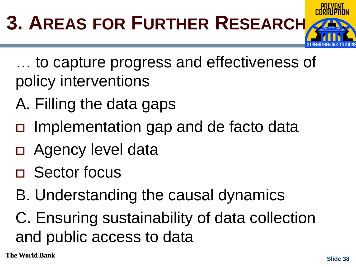

- … to capture progress and effectiveness of policy interventions
- A. Filling the data gaps
- □ Implementation gap and de facto data
- □ Agency level data
- Sector focus
- B. Understanding the causal dynamics
- C. Ensuring sustainability of data collection and public access to data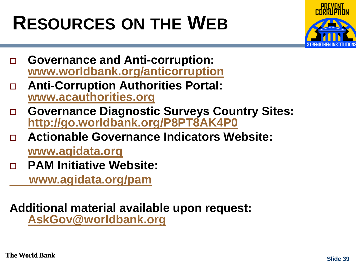## **RESOURCES ON THE WEB**



- **Governance and Anti-corruption: [www.worldbank.org/anticorruption](http://www.worldbank.org/anticorruption)**
- **Anti-Corruption Authorities Portal: [www.acauthorities.org](http://www.acauthorities.org/)**
- **Governance Diagnostic Surveys Country Sites: <http://go.worldbank.org/P8PT8AK4P0>**
- **Actionable Governance Indicators Website: [www.agidata.org](http://www.agidata.org/)**
- **PAM Initiative Website:**

 **[www.agidata.org/pam](http://www.agidata.org/pam)**

# **Ad[ditional material available](mailto:AskGov@worldbank.org) upon request: [AskGov@worldbank.org](mailto:AskGov@worldbank.org)**